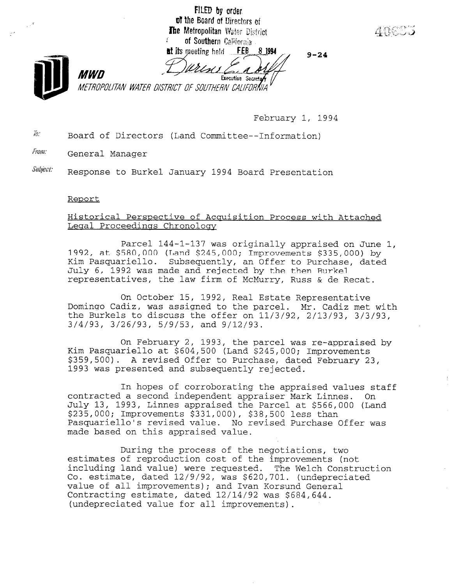FILED by order. of the Board of Directors of The Metropolitan Water District of Southern California **FEB** at its meeting held 8 1994  $9 - 24$ MWN Executive Secretary METROPOLITAN WATER DISTRICT OF SOUTHERN CALIFORNIA

February 1, 1994

 $\bar{h}$  Board of Directors (Land Committee--Information)

*From:* General Manager

Subject: Response to Burkel January 1994 Board Presentation

#### Reoort

## Historical Perspective of Acquisition Process with Attached Legal Proceedings Chronology

Parcel 144-1-137 was originally appraised on June 1, 1992, at \$580,000 (Land \$245,000; Improvements \$335,000) by Kim Pasquariello. Subsequently, an Offer to Purchase, dated July 6, 1992 was made and rejected by the then Burke1 representatives, the law firm of McMurry, Russ & de Recat.

On October 15, 1992, Real Estate Representative Domingo Cadiz, was assigned to the parcel. Mr. Cadiz met with the Burkels to discuss the offer on 11/3/92, 2/13/93, 3/3/93, 3/4/93, 3/26/93, 5/g/53, and g/12/93.

On February 2, 1993, the parcel was re-appraised by Kim Pasquariello at \$604,500 (Land \$245,000; Improvements \$359,500). A revised Offer to Purchase, dated February 23, 1993 was presented and subsequently rejected.

In hopes of corroborating the appraised values staff contracted a second independent appraiser Mark Linnes. On July 13, 1993, Linnes appraised the Parcel at \$566,000 (Land \$235,000; Improvements \$331,000), \$38,500 less than Pasquariello's revised value. No revised Purchase Offer was made based on this appraised value.

During the process of the negotiations, two estimates of reproduction cost of the improvements (not including land value) were requested. The Welch Construction co. estimate, was secondered 12/92, was the metal constructions. Co. estimate, dated 12/9/92, was \$620,701. (undepreciated value of all improvements); and Ivan Korsund General Contracting estimate, dated 12/14/92 was \$684,644. (undepreciated value for all improvements).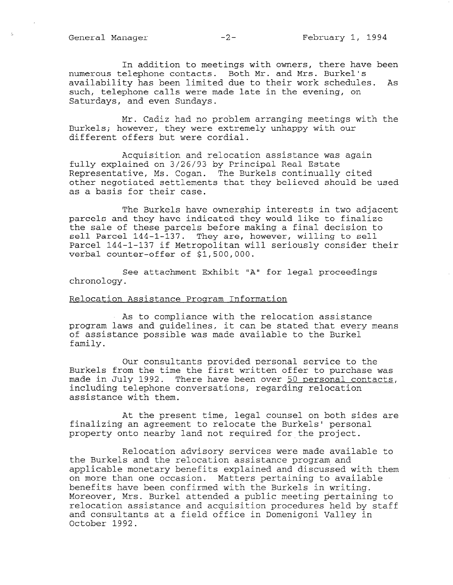General Manager -2- February 1, 1994

In addition to meetings with owners, there have been numerous telephone contacts. Both Mr. and Mrs. Burkel availability has been limited due to their work schedules. As such, telephone calls were made late in the evening, on Saturdays, and even Sundays.

Mr. Cadiz had no problem arranging meetings with the Burkels; however, they were extremely unhappy with our different offers but were cordial.

Acquisition and relocation assistance was again fully explained on 3/26/93 by Principal Real Estate Representative, Ms. Cogan. The Burkels continually cited other negotiated settlements that they believed should be used as a basis for their case.

The Burkels have ownership interests in two adjacent parcels and they have indicated they would like to finalize the sale of these parcels before making a final decision to sell Parcel 144-1-137. They are, however, willing to sell Parcel 144-1-137 if Metropolitan will seriously consider their verbal counter-offer of \$1,500,000.

See attachment Exhibit "A" for legal proceedings chronology.

#### Relocation Assistance Proqram Information

As to compliance with the relocation assistance program laws and guidelines, it can be stated that every means of assistance possible was made available to the Burke1 family.

Our consultants provided personal service to the Burkels from the time the first written offer to purchase was made in July 1992. There have been over 50 personal contacts, including telephone conversations, regarding relocation assistance with them.

At the present time, legal counsel on both sides are finalizing an agreement to relocate the Burkels' personal property onto nearby land not required for the project.

Relocation advisory services were made available to the Burkels and the relocation assistance program, and applies and the rerocation assistance program and them in the monetary discussed with the monetary with the monetary with the monetary and discussed with the monetary with the monetary with the monetary with the monetary w appricable monetary benefits exprained and discussed with on more than one occasion. Matters pertaining to available benefits have been confirmed with the Burkels in writing. More over the public meeting and the purplication of the purplication of the purplication of the purplication of the purplication of the purplication of the purplication of the purplication of the purplication of the purpl moteover, mis. purket accended a bubiic meecing bercaining c relocation assistance and acquisition procedures held by staff and consultants at a field office in Domenigoni Valley in<br>October 1992.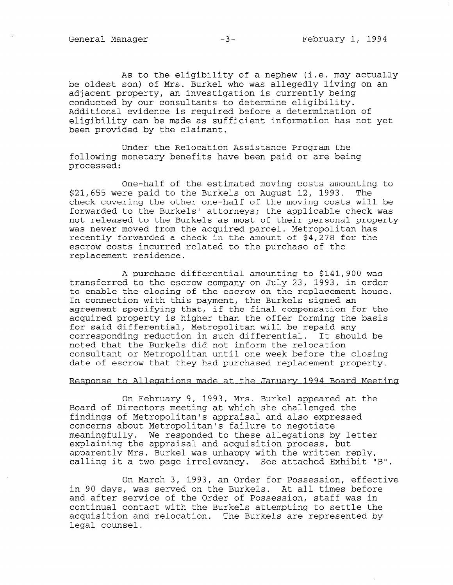As to the eligibility of a nephew (i.e. may actually be oldest son) of Mrs. Burke1 who was allegedly living on an adjacent property, an investigation is currently being conducted by our consultants to determine eligibility. Additional evidence is required before a determination of eligibility can be made as sufficient information has not yet been provided by the claimant.

Under the Relocation Assistance Program the following monetary benefits have been paid or are being processed:

One-half of the estimated moving costs amounting to \$21,655 were paid to the Burkels on August 12, 1993. The check covering the other one-half of the moving costs will be forwarded to the Burkels' attorneys; the applicable check was not released to the Burkels as most of their personal property was never moved from the acquired parcel. Metropolitan has recently forwarded a check in the amount of \$4,278 for the escrow costs incurred related to the purchase of the replacement residence.

A purchase differential amounting to \$141,900 was transferred to the escrow company on July 23, 1993, in order to enable the closing of the escrow on the replacement house. In connection with this payment, the Burkels signed an agreement specifying that, if the final compensation for the acquired property is higher than the offer forming the basis for said differential, Metropolitan will be repaid any corresponding reduction in such differential. It should be noted that the Burkels did not inform the relocation consultant or Metropolitan until one week before the closing date of escrow that they had purchased replacement property.

#### Response to Allegations made at the January 1994 Board Meeting

On February 9, 1993, Mrs. Burke1 appeared at the Board of Directors meeting at which she challenged the findings of Metropolitan's appraisal and also expressed concerns about Metropolitan's failure to negotiate meaningfully. We responded to these allegations by letter explaining the appraisal and acquisition process, but  $\epsilon$ apparently Mrs. Burketten and acquisition probability with  $\epsilon$ apparency mis. Built was unlappy with the will be attached the

On March 3, 1993, an Order for Possession, effective in 90 days, was seeking on the Burkels. At all times before the Burkels. At all times before the Burkels. At a in 90 days, was served on the Burkels. At all times before<br>and after service of the Order of Possession, staff was in and aller service of the Order of Possession, stall was lift continual contact with the Burkels attempting to settle the acquisition and relocation. The Burkels are represented by legal counsel.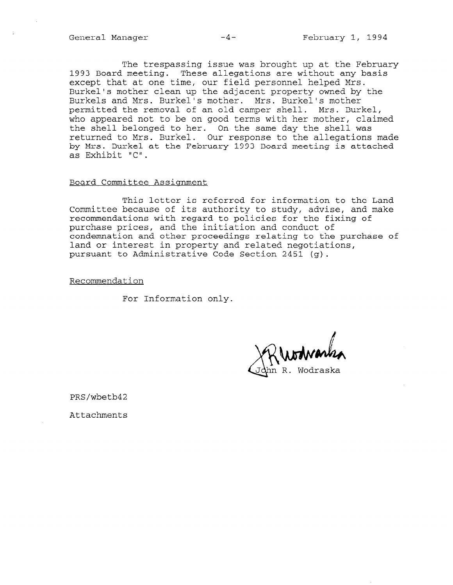The trespassing issue was brought up at the February 1993 Board meeting. These allegations are without any basis except that at one time, our field personnel helped Mrs. Burkel's mother clean up the adjacent property owned by the Burkels and Mrs. Burkel's mother. Mrs. Burkel's mother permitted the removal of an old camper shell. Mrs. Burkel, who appeared not to be on good terms with her mother, claimed the shell belonged to her. On the same day the shell was returned to Mrs. Burkel. Our response to the allegations made by Mrs. Burke1 at the February 1993 Board meeting is attached as Exhibit "C".

#### Board Committee Assignment

This letter is referred for information to the Land Committee because of its authority to study, advise, and make recommendations with regard to policies for the fixing of purchase prices, and the initiation and conduct of condemnation and other proceedings relating to the purchase of land or interest in property and related negotiations, pursuant to Administrative Code Section 2451 (g).

Recommendation

For Information only.

n R. Wodraska

PRS/wbetb42

Attachments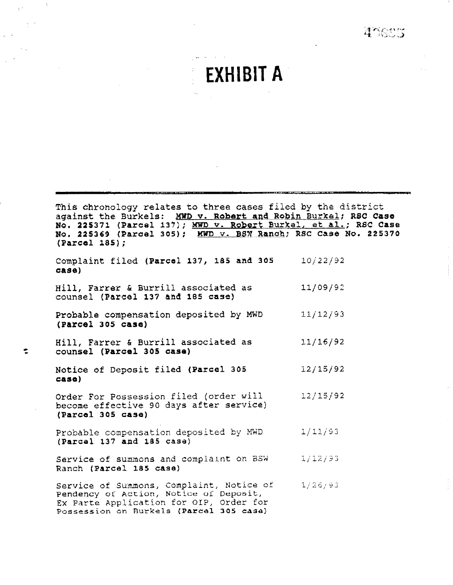45005



This chvohology relates to three cases filed by the district against the Burkels: MWD v. Robert and Robin Burkel; RSC Case No. 225371 (Parcel 137); MWD v. Robert Burkel, et al.; R8C Case No. 225369 (Parcel 305); MWD v. BSW Ranch; RSC Case No. 225370 (Farcal 185);

Complaint filed (Parcel 137, 185 and 305  $case)$ 10;22/92

Hill, Farrer & Burrill associated as counsel (Parcel 137 aad 185 case) 11/09/92

Probable compensation deposited by MWD {Parcel 305 case) llj12j93

Hill, Farrer & Burrill associated as W WILL, Farrer & Burrill as<br>Counsel (Parcel 305 case) 11/16/92

Notice of Deposit filed (Parcel 305  $case)$ 12/15/92

Order For Possession filed {order will become effective 90 days after service) (Parcal 305 case) 12/15/92

Probable compensation deposited by MWD  $1/11/93$ (Parcel 137 and 185 casa)

Service of summons and complaint on SCM.  $1/12/93$ Ranch (Parcel 185 case)

Service of Su~m.mons, Complaint, Notice or'  $1/26/93$ Service of Summons, Compiaint, Notic<br>Pendency of Action, Notified for Deposit Ex Parte Application for OXP, Order for EX Parte Application for Oir, Order f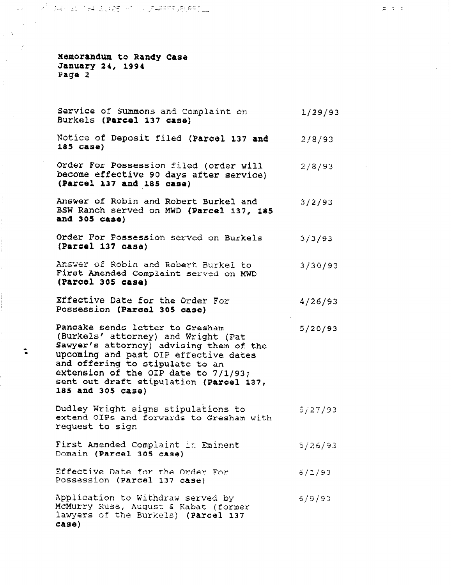NART TIRK SENTEN 21425 HT IN ZAARRE JELAATIL

nemorandum to Randy Case January 24, 1994 Page 2

Service of Summons and Complaint on Burkels (Parcel 137 case) 1/29/'93  $\pi_{1} = \pm$ 

- Notice of Deposit filed (Parcel 137 and 2/8/93 la5 case)
- Order For Possession filed (order will  $2/8/93$ become effective 90 days after service) (Parcel 137 and 185 ease)
- Answer of Robin and Robert Burkel and 3/2/93 BSW Ranch served on MWD (Parcel 137, 185 and 305 case)
- Order For Possession served on Burkels (Parcel 137 aase) 3/3/93
- Answer of Robin and Robert Burke1 to First Amended Complaint served on HWD (Parcel 305 case) 3/3oj93
- Effective Date for the Grder For  $4/26/93$ Possession (Parcel 305 case)
- Pancake sends letter to Gresham  $5/20/93$ (Burkels' attorney) and Wright (Pat Sawyer's attorney) advising them of the upcoming and past GI? effective dates and offering to stipulate to an extension of the OIP date to 7/l/93; sent out draft stipulation (Parcel 137, 185 and 305 case)
- Dudley Wright signs stipulations to 5/27/93 extend 0IPs ar,d forwards to Gresham with extend ofte dik<br>extend ofte dik
- First Anended Complaint In %it?ent  $5/26/93$ ritat Amended Complaint
- Effective Date for the Order For  $6/1/93$ Possession (Parcel 137 case)
- $A$ pplication to VIthdraw served by  $\overline{a}$  $5/9/93$ Appilcation to withdraw served by<br>MaMurry Russ, Nusset f Katat (former McMurry Russ, August & Kabat (former) lawyers of the Burkels) (Parcel 137 case)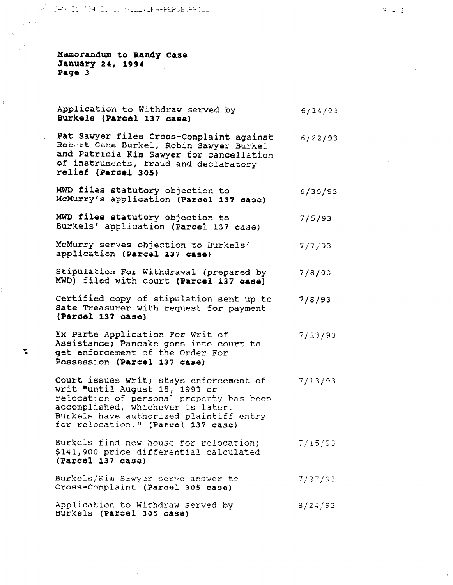JAP 51 194 ILVOS HILL/ LEAPPERGELESILL

Mamorandum to Randy Case January 24, 1994 Page 3

Ī ţ Application to Withdraw served by  $6/14/93$ Burkels (Parcel 137 case)

Pat Sawyer files Cross-Complaint against Robert Gene Burkel, Robin Sawyer Burkei 6/22/93 and Patricia Kim Sawyer for cancellation of instruments, fraud and declaratory relief (Par001 305)

- MWD files statutory objection to  $6/30/93$ McMurry's application (Parcel 137 case)
- MWD files statutory objection to  $7/5/93$ Burkels' application (Parcel 137 case)
- McMurry serves objection to Burkels'  $7/7/93$ application (Parcel 137 case}
- Stipulation For Withdrawai (prepared by  $7/8/93$ MWD) filed with court (Parcel 137 case)
- Certified copy of stipulation sent up to  $7/8/93$ Sate Treasurer with request for payment (Parcel 137 case)
- Ex Parte Application For Writ of Assistance; Pancake goes into court to<br>
and the Order For Possession (Parcel 137 case)  $7/13/93$

Court issues writ; Stays enforcement of  $7/13/93$ writ "until August 15, 1993 or relocation of personal property has been accomplished, whichever is later. Burkels have authorized plaintiff entry for relocation." (Parcel 137 case)

- Burkeis find new house for relocation;  $7/15/93$ \$141,900 price differential calculated (Parcel 137 case)
- $B = \frac{1}{2}$  Sawyer Server and Server and Server and Server and Server and Server and Server and Server and Server and Server and Server and Server and Server and Server and Server and Server and Server and Server and Serv  $7/27/93$ ourkeis/Kim Sawyer Serve answer<br>Cross-Complaint (Porcel 345 case)
- Application to Withdian to Withdian served by  $8/24/93$ Application to Withdraw S<br>Burkels (Parcel 305 case)

 $2 - 1 - 2$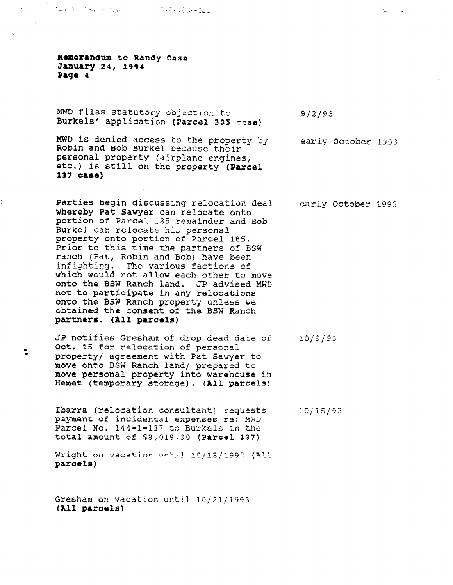Memorandum to Randy Case January 24, 1994 Page 4

Ť.

MWD files statutory objection to Burkels' application (Parcel 305 3988)

MWD is denied access to the property by Robin and Bob Burke1 because their personal property (airplane engines, etc.) is still on the property (Parael 137 case)

Parties begin discussiny reiocation deal whereby Pat Sawyer can relocate onto portion of Parcel. 185 remainder and Bob Burkel can relocate his personal property onto portion of Parcel 185. Prior to this time the partners of BSW ranch (Pat, Robin and Bob) have been infighting. The various factions of which would not allow each other to move onto the BSW Ranch land. JP advised MWD not to participate in any relocations onto the BSW Ranch property unless we obtained the consent of the BSW Ranch partners. (All paroels)

JP notifies Gresham of drop dead date of . Oct. 15 for relocation of personal property/ agreement with Pat Sawyer to move onto BSW Ranch land/ prepared to move onto per kanch land, prepared to move personar property into warehouse.<br>Hemet (temporary storage). (All parcel

Ibarra (relocation consultant) requests  $10/15/93$ payment of incidental expenses re: MWD Parcel No. 144-1-137 to Burkels in the total amount of \$8,018.30 (Parcel 137)

Wright on vacation until 10/18/1993 (All parcels)

 $G_{\text{G}}$  and vacation until  $\mathcal{L}_{\text{G}}$ iresnam on<br>....

early October 1993

early October 1993

g/2/93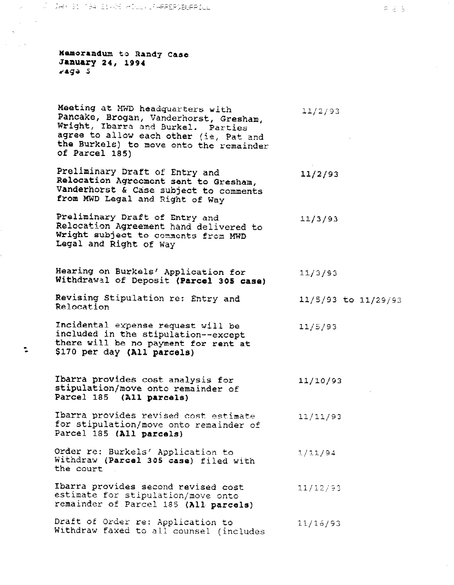Memorandum to Randy Case January 24, 1994 taga 5

Meeting at MWD headquarters with  $11/2/93$ Pancake, Brogan, Vanderhorst, Gresham, Wright, Ibarra and Burkel. Parties agree to allow each other (ie, Pat and the Burkels) to move onto the remainder of Parcel 185)

Preliminary Draft of Entry and Relocation Agreement sent to Gresham, Vanderhorst & Case subject to comments from MWD Legal and Right of Way

Preliminary Draft of Entry and Relocation Agreement hand delivered to Wright subject to comments from MWD Legal and Right of Way 11/3393

Hearing on Burkels' Application for  $11/3/93$ Withdrawal of Deposit (Parcel 305 case)

Revising Stipulation re: Entry and Relocation

Incidental expense request will be included in the stipulation--except there will be no payment for rent at<br>  $\frac{1}{2}$  size ner day (all narreals) \$170 per day (All parcels)

> Ibarra provides cost analysis for stipulation/move onto remainder of Parcel 185 (All parcels) 11/10/43

> Ibarra provides revised cost estimate  $11/11/93$ for stipulation/move onto remainder of Parcel 185 (All parcels)

Order re: Burkels' Application to  $1/11/94$ Withdraw (Parcel 305 case) filed with the court

Ibarra provides second revised cost  $11/12/93$ estimate for stipulation/move onto estimate for stipulation/move onto

Draft of Order re: Application to  $11/16/93$ Dialt Of Order fe: Application to alignment of the counsel of the counsel of the counsel of the counsel of the counsel of the counsel of the counsel of the counsel of the counsel of the counsel of the counsel of the counse

11/2/93

 $11/5/93$ 

 $11/5/93$  to  $11/29/93$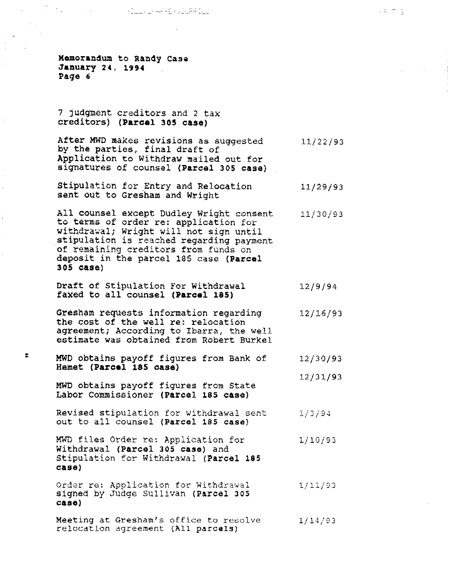i 1986 - An Contae ann an Aibean an Aibean Aonaichte agus

Memorandum to Randy Case January 24, 1994 Page 6

 $\bar{1}$ 

Į.

7 judgment. creditors and 2 tax creditors) (Pares1 305 case)

After MWD makes revisions as suggested 11/22,<br>by the parties, final draft of by the parties, final draft of<br>Application to Withdraw mailed out for signatures of counsel (Parcel 305 case)

Stipulation for Entry and Relocation sent out to Gresham and Wright 11/29/93

All counsel except Dudley Wright consent 11/30/93 All Counsel except budley wright cons withdraws withdrawing with will not sign until withuidwdi; wright will not sign uncll.<br>Abiunlation is reached regarding p stipulation is reached regarding pay: of remaining creditors from funds on deposit in the parcel 185 case (Parcel<br>305 case)

 $D_1$  of  $D_2$   $D_3$   $D_4$   $D_5$   $D_6$   $D_7$   $D_8$   $D_9$   $D_1$   $D_2$   $D_3$   $D_1$   $D_2$   $D_3$   $D_4$   $D_5$   $D_7$   $D_8$   $D_9$   $D_9$   $D_9$   $D_9$   $D_9$   $D_9$   $D_9$   $D_9$   $D_9$   $D_9$   $D_9$   $D_9$   $D_9$   $D_9$   $D_9$   $D_9$   $D_9$   $D$  $12/9/94$ prait or stipulation for witndraw

Gresham requests information regarding  $12/16/93$ Gresham requests information reg the cost of the well re: relocation agreement; According to Ibarra, the well estimate was obtained from Robert Burkel

: MWD obtains payoff figures from Bank of figures from Bank of  $\mathcal{B}$ MWD obtains payoff figures from Bank of<br>Hemet (Parcel 185 case)

MWD obtains payoff figures from State<br>Labor Commissioner (Parcel 185 case)

- Revised stipulation for withdrawal sent  $1/3/94$ out to all counsel (Parcel 185 case)
- MWD files Order re: Application for  $1/10/93$ Withdrawal (Parcel 305 case) and Stipulation for Withdrawal (Parcel 185  $case)$

Order re: Application for Withdrawal  $1/11/93$ signed by Judge Sullivan (Parcel 305)  $\frac{1}{\sqrt{2}}$  at  $\frac{1}{\sqrt{2}}$  at  $\frac{1}{\sqrt{2}}$  and  $\frac{1}{\sqrt{2}}$  and  $\frac{1}{\sqrt{2}}$  and  $\frac{1}{\sqrt{2}}$  and  $\frac{1}{\sqrt{2}}$  and  $\frac{1}{\sqrt{2}}$  and  $\frac{1}{\sqrt{2}}$  and  $\frac{1}{\sqrt{2}}$  and  $\frac{1}{\sqrt{2}}$  and  $\frac{1}{\sqrt{2}}$  and  $\frac{1}{\sqrt{2}}$  and  $\$ 

Meeting at Gresham's office to resolve  $1/14/93$ relocation agreement (All parcels)

 $\mathcal{L}_{\text{max}}$  , where  $\mathcal{L}_{\text{max}}$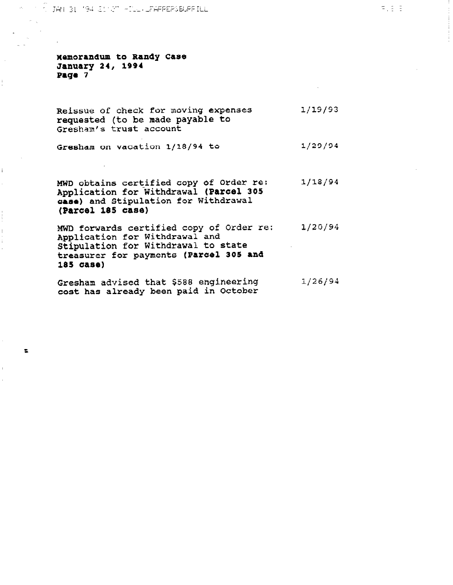**CODAM B1 (194) SIMPT HILL, LEARREPSBURRILL** 

**Memorandum to Randy Case** January 24, 1994 Page 7

 $\mathbf{I}$ 

 $\bullet$ 

Reissue of check for moving expenses requested (to be made payable to Gresham's trust account l/19/93

Gresham on vacation 1/18/94 to  $1/29/94$ 

MWD obtains certified copy of Order re Application for Withdrawal (Parcel 305 case) and Stipulation for Withdrawal (Parcel 185 case) l/18/94

MWD forwards certified copy of Order re: 1/20/94 Application for Withdrawal and Stipulation for Withdrawal to state treasurer for payments {Parcel 305 and 185 aase)

Gresham advised that \$588 engineering  $1/26/94$ cost has already been paid in October

 $\Xi$  ,  $\Xi$  ,  $\Xi$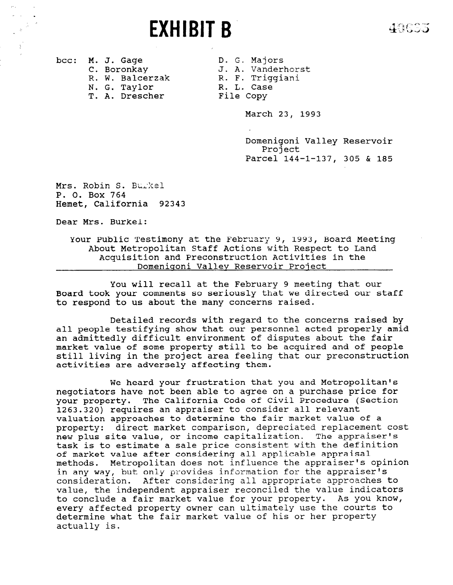EXHIBIT B

40605

R. W. Balcerzak N. G. Taylor R. L. Case T. A. Drescher File Copy

bcc: M. J. Gage D. G. Majors C. Boronkay J. A. Vanderhorst<br>R. W. Balcerzak R. F. Triggiani

March 23, 1993

Domenigoni Valley Reservoir Project Parcel 144-l-137, 305 & 185

Mrs. Robin S. Burkel P. 0. Box 764 Hemet, California 92343

Dear Mrs. Burkel:

Your Public Testimony at the February 9, 1993, Board Meeting About Metropolitan Staff Actions with Respect to Land Acquisition and Preconstruction Activities in the Domenigoni Valley Reservoir Project

You will recall at the February 9 meeting that our Board took your comments so seriously that we directed our staff to respond to us about the many concerns raised.

Detailed records with regard to the concerns raised by all people testifying show that our personnel acted properly amid an admittedly difficult environment of disputes about the fair market value of some property still to be acquired and of people still living in the project area feeling that our preconstruction activities are adversely affecting them.

We heard your frustration that you and Metropolitan's negotiators have not been able to agree on a purchase price for your property. The California Code of Civil Procedure (Section 1263.320) requires an appraiser to consider all relevant valuation approaches to determine the fair market value of a property: direct market comparison, depreciated replacement cost new plus site value, or income capitalization. The appraiser's task is to estimate a sale price consistent with the definition of market value after considering all applicable appraisal methods. Metropolitan does not influence the appraiser's opinion methods. Metropolitan does not influence the appraiser's in any way, but only provides information for the appraiser's consideration. After considering all appropriate approaches to value, the independent appraiser reconciled the value indicators to conclude a fair market value for your property. As you know, every affected property owner can ultimately use the courts to determine what the fair market value of his or her property actually is.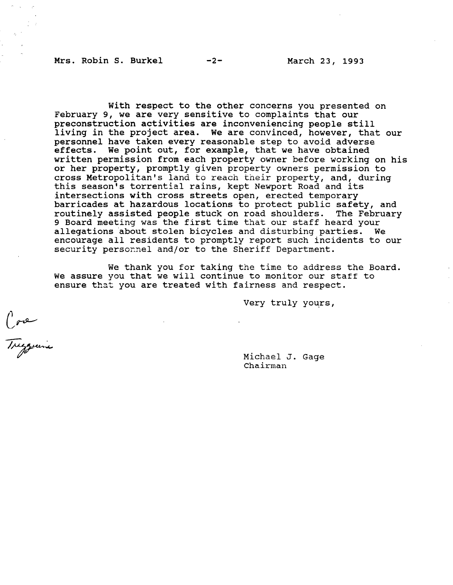Mrs. Robin S. Burkel -2- March 23, 1993

With respect to the other concerns you presented on February 9, we are very sensitive to complaints that our preconstruction activities are inconveniencing people still living in the project area. We are convinced, however, that our personnel have taken every reasonable step to avoid adverse effects. We point out, for example, that we have obtained written permission from each property owner before working on his or her property, promptly given property owners permission to cross Metropolitan's land to reach their property, and, during this season's torrential rains, kept Newport Road and its intersections with cross streets open, erected temporary barricades at hazardous locations to protect public safety, and routinely assisted people stuck on road shoulders. The February 9 Board meeting was the first time that our staff heard your allegations 'about stolen bicycles and disturbing parties. We encourage all residents to promptly report such incidents to our security persornel and/or to the Sheriff Department.

We thank you for taking the time to address the Board. We assure you that we will continue to monitor our staff to ensure that you are treated with fairness and respect.

Very truly yours,

Core<br>Treggerine

Michael J. Gage Chairman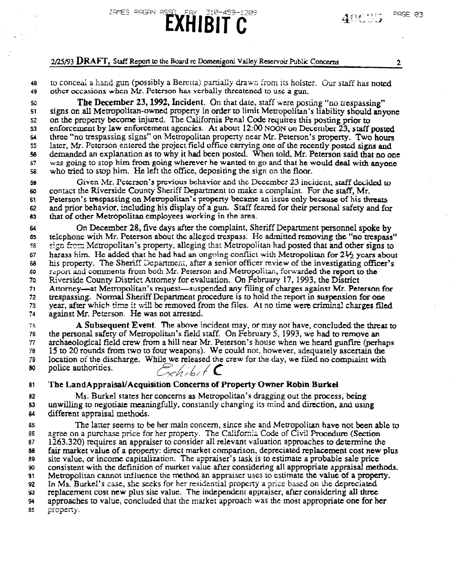# $2/25/93$  DRAFT, Staff Report to the Board rc Domenigoni Valley Reservoir Public Concerns  $2$

JAMES RAGAN ASSO

48 to conceal a hand gun (possibly a Bercria) partially drawn from its holster. Our staff has noted 49 other occasions when Mr. Peterson has verbally threatened to use a gun.

<u> FAY 310-459-1209</u>

EXHIBIT C

50 51 52 53 64 55 56 57 5s The December 23, 1992, Incident. On that date, staff were posting "no trespassing" signs on all Metropolitan-owned property in order to limit Metropolitan's liability should anyone on the property become injured. The California Penal Code requires this posting prior to enforcement by law enforcement agencies. At about  $12:00$  NOON on December 23, staff posted three "no trespassing signs" on Metropolitan property near Mr. Peterson's property. Two hours later, Mr. Peterson entered the project field office carrying one of the recently posted signs and demanded an explanation as ro why it had been posted. When told, Mr. Peterson said that no one was going to stop him from going wherever he wanted to go and that he would deal with anyone who tried to stop him. He left the office, depositing the sign on the floor.

59 60 61 62 63 Given Mr. Peterson's previous behavior and the December 23 incident, staff decided to contact the Riverside County Sheriff Department (0 make a complaint. For the staff, Mr. Peterson's trespassing on Metropolitan's property became an issue only because of his thnxus receivor, is used as  $\mu$  in the higher polynomial sphatrup of a gun. Staff feamed for their personal safety and for and prior behavior, including his display of a gun. Staff feared for their personal safety and for that of other Metropolitan employees working in the area.

64 65 5s 67 ..  $\ddot{\phantom{1}}$ 69 70 71 73 73<br>74 On December 28, five days after the complaint, Sheriff Department personnel spoke by  $t_{\text{tot}}$  on December 26, rive days are the complaint, she in Department personner spoke by  $\frac{1}{n}$ telephone with Mr. Peterson about the alleged trespass. He admitted removing the "no trespass" sign from Metropolitan's property, alleging that Metropolitan had posted that and other signs to harass film. He added that he had had an ongoing conflict with Metropolitan for  $2\frac{1}{2}$  years about his property. The Sheriff Department, after a senior officer review of the investigating officer's report and comments from both Mr. Peterson and Metropolitan, forwarded the report to the Riverside County District Attomey for evaluation. On February 17, 1993, the District Attorney—at Metropolitan's request—suspended any filing of charges against Mr. Peterson for trespassing. Normal Sheriff Department procedure is to hold the report in suspension for one year, after which time it will be removed from the files. At no time were criminal charges filed against Mr. Peterson. He was not arrested.  $M_{\rm H}$ , the above included the above incident may not have, concluded the threat to the threat to the threat to the threat to the threat to the threat to the threat to the threat to the threat to the threat to the threa

76 A Subsequent Event. The above incident may, or may not have, concluded the three the personal safety of Metropolitan's field staff. On February 5, 1993, we had to remove an 76 archaeological field crew from a hill near Mr. Peterson's house when we heard gunfire (perhaps 77 15 to 20 rounds from two to four weapons). We could not, however, adequately ascertain the 79 location of the discharge. While we released the crew for the day, we filed no complaint with police authorities. 79 80  $\sqrt{8n/8n}$ 

81 The Land Appraisal/Acquisition Concerns of Property Owner Robin Burkel

82 Ms. Burkel states her concerns as Metropolitan's dragging out the process, being 83 unwilling to negotiate meaningfully, constantly changing its mind and direction, and using 84 different appraisal methods.

85 **Beef on a purchase 1** and the purchase price for the control of the California Cede of Civil Prpcedar (Section 2016) The California Cede of Civil Prpced and Central Celestion Central Celestion Celestion Celestion Celes 86 agree on a purchase price for her property. The California Code of Civil Procedure (Section 87 famil 1263.320) requires an appraiser to consider all relevant valuation approaches to determine the 88 fair market value of a property: direct market comparison, depreciated replacement cost new plus 89 site value, or income capitalization. The appraiser's task is to estimate a probable sale price 90 consistent with the definition of market value after considering all appropriate appraisal methods. 91 Metropolitan cannot influence the method an appraiser uses to estimate the value of a property. 92 In Ms. Burkel's case, she seeks for her residential property a price based on the depreciated 93 replacement cost new plus site value. The independent appraiser, after considering all three 94 approaches to value, concluded that the market approach was the most appropriate one for her \$5 property.

PAGE 03